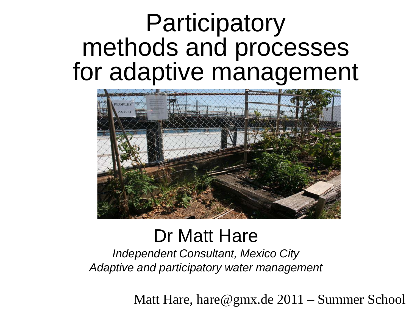#### **Participatory** methods and processes for adaptive management



#### Dr Matt Hare

*Independent Consultant, Mexico City Adaptive and participatory water management*

Matt Hare, hare@gmx.de 2011 – Summer School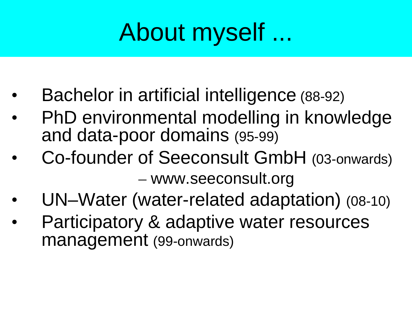

- Bachelor in artificial intelligence (88-92)
- PhD environmental modelling in knowledge and data-poor domains (95-99)
- Co-founder of Seeconsult GmbH (03-onwards) – www.seeconsult.org
- UN–Water (water-related adaptation) (08-10)
- Participatory & adaptive water resources management (99-onwards)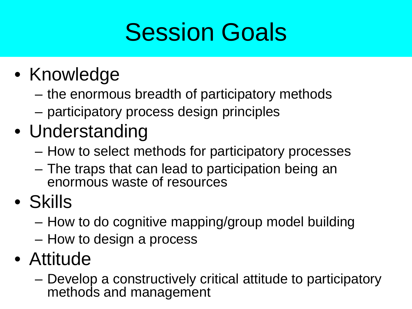# **Session Goals**

- Knowledge
	- the enormous breadth of participatory methods
	- participatory process design principles
- Understanding
	- How to select methods for participatory processes
	- The traps that can lead to participation being an enormous waste of resources
- Skills
	- How to do cognitive mapping/group model building
	- How to design a process
- Attitude
	- Develop a constructively critical attitude to participatory methods and management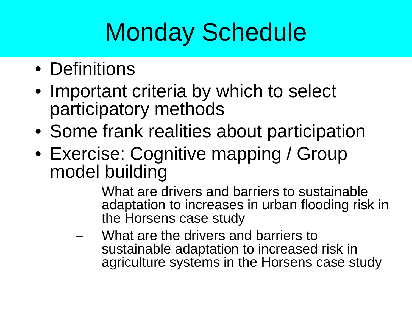#### Monday Schedule Monday Schedule

- Definitions
- Important criteria by which to select participatory methods
- Some frank realities about participation
- Exercise: Cognitive mapping / Group model building
	- What are drivers and barriers to sustainable adaptation to increases in urban flooding risk in the Horsens case study
	- What are the drivers and barriers to sustainable adaptation to increased risk in agriculture systems in the Horsens case study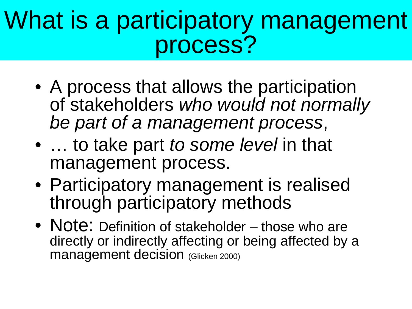#### What is a participatory management process?

- A process that allows the participation of stakeholders *who would not normally be part of a management process*,
- … to take part *to some level* in that management process.
- Participatory management is realised through participatory methods
- Note: Definition of stakeholder those who are directly or indirectly affecting or being affected by a management decision (Glicken 2000)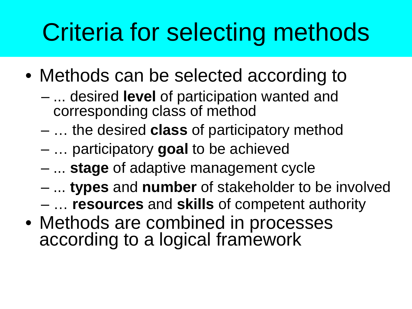# Criteria for selecting methods

- Methods can be selected according to
	- ... desired **level** of participation wanted and corresponding class of method
	- … the desired **class** of participatory method
	- … participatory **goal** to be achieved
	- ... **stage** of adaptive management cycle
	- ... **types** and **number** of stakeholder to be involved
	- … **resources** and **skills** of competent authority
- Methods are combined in processes according to a logical framework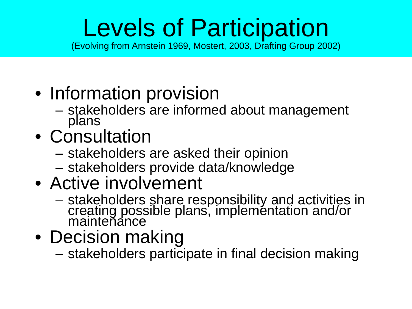# Levels of Participation

(Evolving from Arnstein 1969, Mostert, 2003, Drafting Group 2002)

- Information provision
	- stakeholders are informed about management plans
- Consultation
	- stakeholders are asked their opinion
	- stakeholders provide data/knowledge
- Active involvement
	- stakeholders share responsibility and activities in creating possible plans, implementation and/or maintenance
- Decision making
	- stakeholders participate in final decision making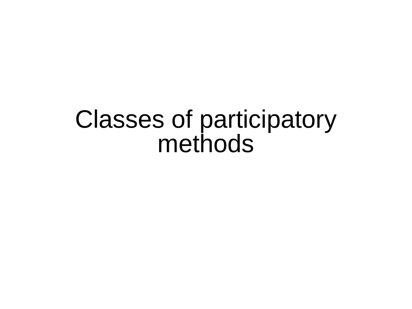#### Classes of participatory methods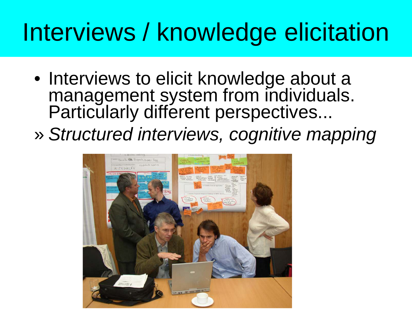# Interviews / knowledge elicitation

- Interviews to elicit knowledge about a management system from individuals. Particularly different perspectives...
- » *Structured interviews, cognitive mapping*

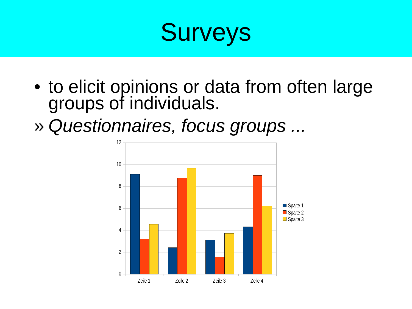

- to elicit opinions or data from often large groups of individuals.
- » *Questionnaires, focus groups ...*

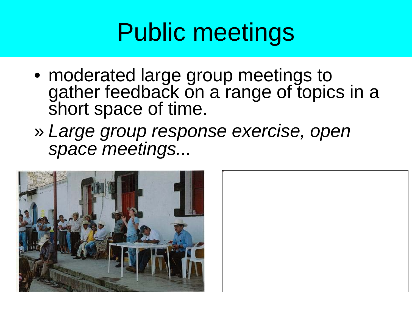# Public meetings

- moderated large group meetings to gather feedback on a range of topics in a short space of time.
- » *Large group response exercise, open space meetings...*



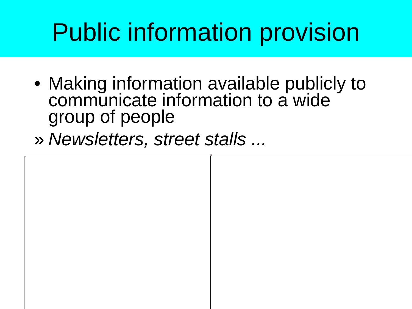# Public information provision

- Making information available publicly to communicate information to a wide group of people
- » *Newsletters, street stalls ...*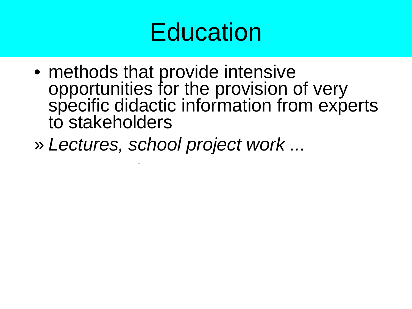## **Education**

- methods that provide intensive opportunities for the provision of very specific didactic information from experts to stakeholders
- » *Lectures, school project work ...*

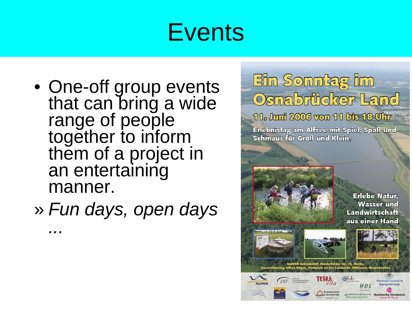## **Events**

- One-off group events<br>that can bring a wide range of people together to inform them of a project in an entertaining manner.
- » *Fun days, open days*

*...*

#### Ein Sonntag im Osnabrücker Land 11. Juni 2006 von 11 bis 18 Uhr

Erlebnistag am Alfsee mit Spiel, Spaß und **Schmaus für Groß und Klein.** 



**Erlebe Natur, Wasser und** Landwirtschaft aus einer Hand

 $HOL$ 

Wasserverband Bersenbrück

Stadtwerke Osnabrück

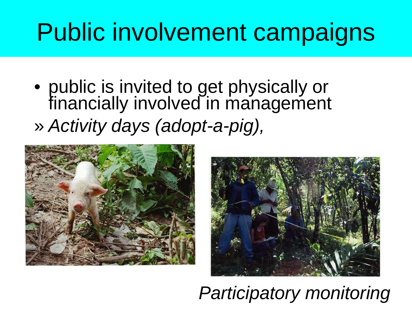# Public involvement campaigns

• public is invited to get physically or financially involved in management » *Activity days (adopt-a-pig),* 





#### *Participatory monitoring*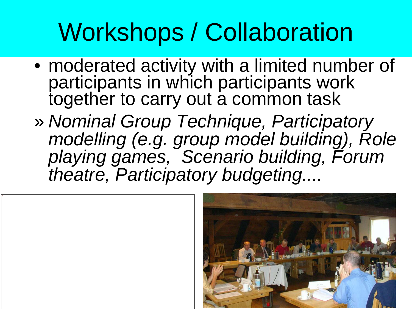# Workshops / Collaboration

- moderated activity with a limited number of participants in which participants work together to carry out a common task
- » *Nominal Group Technique, Participatory modelling (e.g. group model building), Role playing games, Scenario building, Forum theatre, Participatory budgeting....*



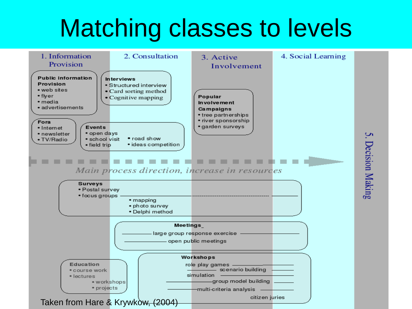# Matching classes to levels

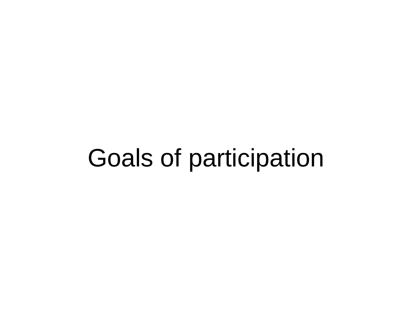### Goals of participation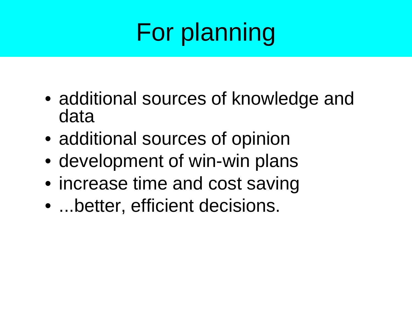# For planning

- additional sources of knowledge and data
- additional sources of opinion
- development of win-win plans
- increase time and cost saving
- ...better, efficient decisions.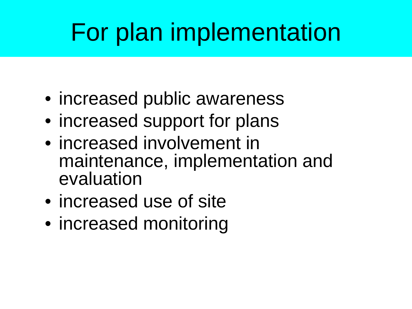# For plan implementation

- increased public awareness
- increased support for plans
- increased involvement in maintenance, implementation and evaluation
- increased use of site
- increased monitoring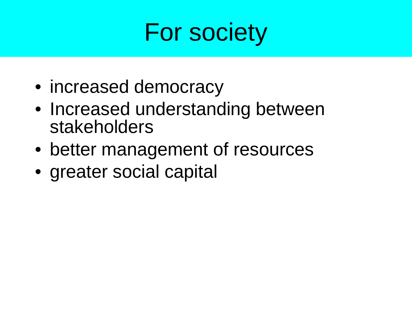### For society

- increased democracy
- Increased understanding between stakeholders
- better management of resources
- greater social capital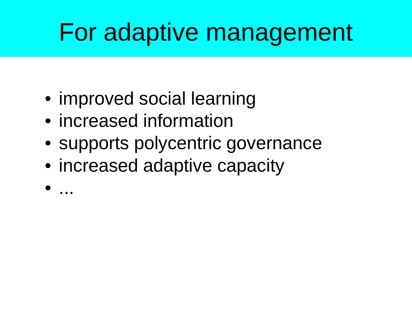## For adaptive management

- improved social learning
- increased information
- supports polycentric governance
- increased adaptive capacity
- ...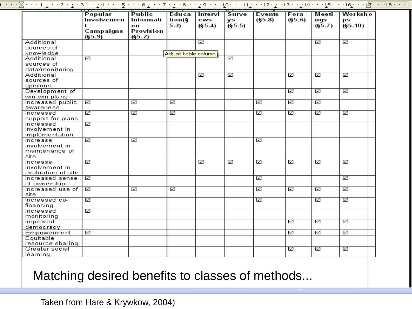$1\leftrightarrow\sqrt{2}$  and  $1\pm\sqrt{2}$  and  $1\pm3\leftrightarrow\sqrt{2}$  and  $5\pm\sqrt{2}$  and  $7\pm1.8$  and  $7\pm9\leftrightarrow\sqrt{10}$  and  $11\pm\sqrt{12}$  and  $13\pm\sqrt{14}$  and  $15\pm\sqrt{16}$  and  $18\pm\sqrt{10}$ 

|                    |                          |           |                     |         |        |        |        |        | ᅩ                        |
|--------------------|--------------------------|-----------|---------------------|---------|--------|--------|--------|--------|--------------------------|
|                    | Popular                  | Public    | Educa               | Intervi | Surve  | Events | Fora   | Meeti  | Worksho                  |
|                    | Involvemen               | Informati | tion(§              | ews     | γs     | (65.8) | (65.6) | ngs    | ps                       |
|                    | t                        | on.       | 5.3)                | (65.4)  | (65.5) |        |        | (65.7) | (S5.10)                  |
|                    | Campaigns                | Provision |                     |         |        |        |        |        |                          |
|                    | (§ 5.9)                  | (§5.2)    |                     |         |        |        |        |        |                          |
| Additional         |                          |           |                     | ☑       |        |        |        | ☑      | ☑                        |
| sources of         |                          |           |                     |         |        |        |        |        |                          |
| knowledge          |                          |           | Adjust table column |         |        |        |        |        |                          |
| Additional         | √                        |           |                     |         | ☑      |        |        |        |                          |
| sources of         |                          |           |                     |         |        |        |        |        |                          |
| data/monitoring    |                          |           |                     |         |        |        |        |        |                          |
| Additional         |                          |           |                     | $\sim$  | ☑      |        | √      | ✓      | $\overline{\phantom{0}}$ |
| sources of         |                          |           |                     |         |        |        |        |        |                          |
| opinions           |                          |           |                     |         |        |        |        |        |                          |
| Development of     |                          |           |                     |         |        |        | ☑      | ☑      | ☑                        |
| win-win plans      |                          |           |                     |         |        |        |        |        |                          |
| Increased public   | ✓                        | ☑         | ☑                   |         |        | √      | √      | √      |                          |
| awareness          |                          |           |                     |         |        |        |        |        |                          |
| Increased          | ☑                        | ☑         | ☑                   |         |        | ☑      | ☑      | ☑      | ☑                        |
| support for plans  |                          |           |                     |         |        |        |        |        |                          |
| Increased          | $\overline{\mathcal{L}}$ |           |                     |         |        |        |        |        |                          |
| involvement in     |                          |           |                     |         |        |        |        |        |                          |
| implementation     |                          |           |                     |         |        |        |        |        |                          |
| Increase           | ☑                        | ☑         |                     |         |        | ☑      |        |        |                          |
| involvement in     |                          |           |                     |         |        |        |        |        |                          |
| maintenance of     |                          |           |                     |         |        |        |        |        |                          |
| site               |                          |           |                     |         |        |        |        |        |                          |
| Increase           | ☑                        |           |                     | ⇁       | ☑      | ☑      | ☑      | ☑      | ☑                        |
| involvement in     |                          |           |                     |         |        |        |        |        |                          |
| evaluation of site |                          |           |                     |         |        |        |        |        |                          |
| Increased sense    | ☑                        |           |                     |         |        | ☑      |        |        | ☑                        |
| of ownership       |                          |           |                     |         |        |        |        |        |                          |
| Increased use of   | ☑                        | ☑         | ☑                   |         |        | ☑      | ☑      | ☑      | √                        |
| site               |                          |           |                     |         |        |        |        |        |                          |
| Increased co-      | ☑                        |           |                     |         |        | ☑      |        | ☑      | ☑                        |
| financing          |                          |           |                     |         |        |        |        |        |                          |
| Increased          | √                        |           |                     |         |        |        |        |        |                          |
| monitoring         |                          |           |                     |         |        |        |        |        |                          |
| <b>Improved</b>    |                          |           |                     |         |        |        | ☑      | ☑      | ☑                        |
| democracy          |                          |           |                     |         |        |        |        |        |                          |
| Empowerment        | ☑                        |           |                     |         |        |        | ✓      | ☑      | ☑                        |
| Equitable          |                          |           |                     |         |        |        |        |        |                          |
| resource sharing   |                          |           |                     |         |        |        |        |        |                          |
| Greater social     |                          |           |                     |         |        |        | ☑      | ☑      | ☑                        |
| learning           |                          |           |                     |         |        |        |        |        |                          |

#### Matching desired benefits to classes of methods...

#### Taken from Hare & Krywkow, 2004)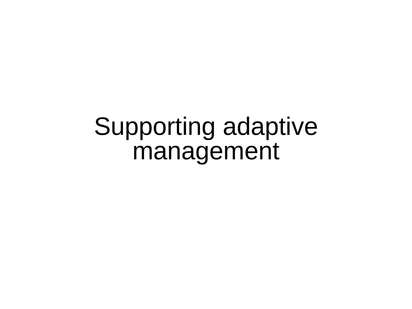#### Supporting adaptive management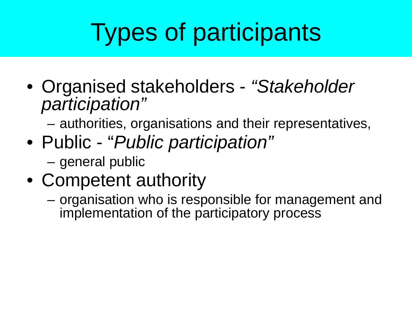# Types of participants

- Organised stakeholders *"Stakeholder participation"*
	- authorities, organisations and their representatives,
- Public "*Public participation"*
	- general public
- Competent authority
	- organisation who is responsible for management and implementation of the participatory process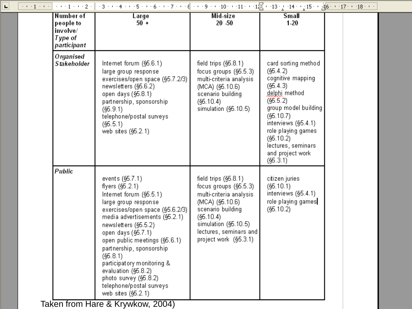| $\left\vert \cdot\right\vert$ ( $\left\vert \cdot\right\vert$ ) $\left\vert \cdot\right\vert$ ( $\left\vert \cdot\right\vert$ |                                 |                                                                                                                                                                                                                                                                                                                                                                                                                                                          |                                                                                                                                                                                                                         |                                                                                                                                                                                                                                                          |  |
|-------------------------------------------------------------------------------------------------------------------------------|---------------------------------|----------------------------------------------------------------------------------------------------------------------------------------------------------------------------------------------------------------------------------------------------------------------------------------------------------------------------------------------------------------------------------------------------------------------------------------------------------|-------------------------------------------------------------------------------------------------------------------------------------------------------------------------------------------------------------------------|----------------------------------------------------------------------------------------------------------------------------------------------------------------------------------------------------------------------------------------------------------|--|
| people to<br>involve/<br>Type of                                                                                              | Number of<br>participant        | Large<br>$50 +$                                                                                                                                                                                                                                                                                                                                                                                                                                          | Mid-size<br>$20 - 50$                                                                                                                                                                                                   | Small<br>$1-20$                                                                                                                                                                                                                                          |  |
|                                                                                                                               | Organised<br><b>Stakeholder</b> | Internet forum (§5.6.1)<br>large group response<br>exercises/open space (§5.7.2/3)<br>newsletters (§5.6.2)<br>open days (§5.8.1)<br>partnership, sponsorship.<br>(§ 5.9.1)<br>telephone/postal surveys<br>(§ 5.5.1)<br>web sites $(S5.2.1)$                                                                                                                                                                                                              | field trips $(\text{$6.8.1$})$<br>focus groups $(\S 5.5.3)$<br>multi-criteria analysis<br>(MCA) (§5.10.6)<br>scenario building<br>(S5.10.4)<br>simulation (§5.10.5)                                                     | card sorting method<br>(S5.4.2)<br>cognitive mapping<br>(§6.4.3)<br>delphi method<br>(S5.5.2)<br>group model building<br>(§6.10.7)<br>interviews $(\S 5.4.1)$<br>role playing games.<br>(§ 5.10.2)<br>lectures, seminars<br>and project work<br>(§6.3.1) |  |
| Public                                                                                                                        |                                 | events (§5.7.1)<br>flyers (§5.2.1)<br>Internet forum (§5.5.1)<br>large group response<br>exercises/open space (§5.6.2/3)<br>media advertisements (§5.2.1)<br>newsletters (§5.5.2)<br>open days (§6.7.1)<br>open public meetings (§5.6.1)<br>partnership, sponsorship.<br>$(\$5.8.1)$<br>participatory monitoring &<br>evaluation (§5.8.2)<br>photo survey (§6.8.2)<br>telephone/postal surveys<br>web sites (§5.2.1)<br>Taken from Hare & Krywkow, 2004) | field trips $(\text{$6.8.1$})$<br>focus groups $(S5.5.3)$<br>multi-criteria analysis<br>(MCA) (\$5.10.6)<br>scenario building<br>(S5.10.4)<br>simulation $(S5.10.5)$<br>lectures, seminars and<br>project work (§5.3.1) | citizen juries<br>(§ 5.10.1)<br>interviews $(\S 5.4.1)$<br>role playing games<br>(§ 5.10.2)                                                                                                                                                              |  |

 $\Box$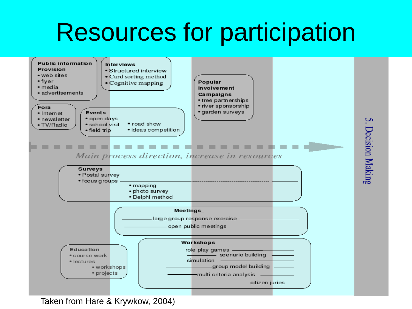## Resources for participation



Taken from Hare & Krywkow, 2004)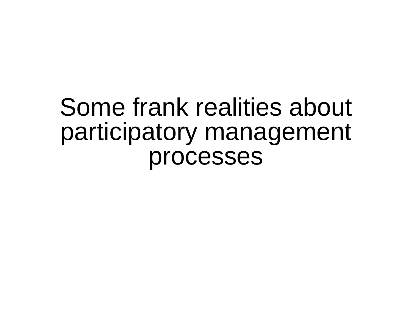#### Some frank realities about participatory management processes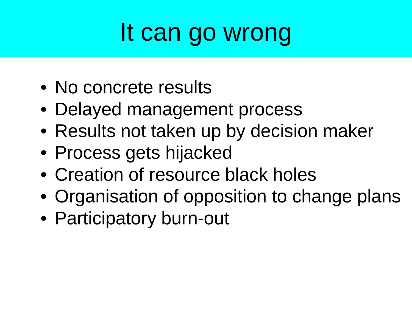# It can go wrong

- No concrete results
- Delayed management process
- Results not taken up by decision maker
- Process gets hijacked
- Creation of resource black holes
- Organisation of opposition to change plans
- Participatory burn-out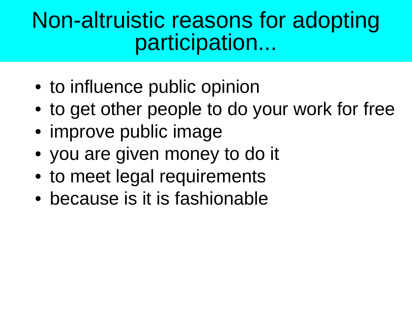#### Non-altruistic reasons for adopting participation...

- to influence public opinion
- to get other people to do your work for free
- improve public image
- you are given money to do it
- to meet legal requirements
- because is it is fashionable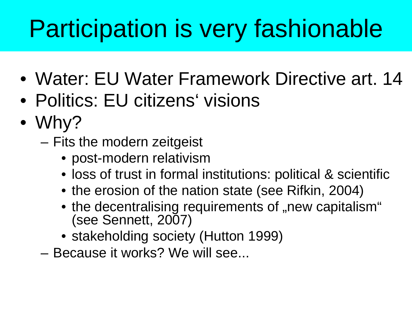# Participation is very fashionable

- Water: EU Water Framework Directive art. 14
- Politics: EU citizens' visions
- Why?
	- Fits the modern zeitgeist
		- post-modern relativism
		- loss of trust in formal institutions: political & scientific
		- the erosion of the nation state (see Rifkin, 2004)
		- the decentralising requirements of "new capitalism" (see Sennett, 2007)
		- stakeholding society (Hutton 1999)
	- Because it works? We will see...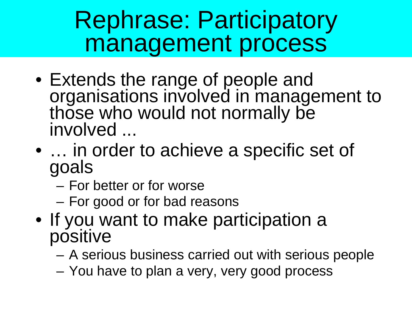### Rephrase: Participatory management process

- Extends the range of people and organisations involved in management to those who would not normally be involved ...
- … in order to achieve a specific set of goals
	- For better or for worse
	- For good or for bad reasons
- If you want to make participation a positive
	- A serious business carried out with serious people
	- You have to plan a very, very good process